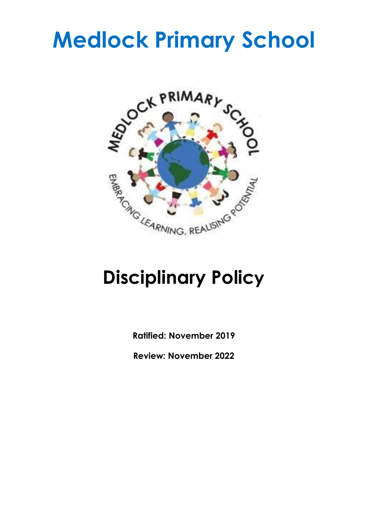# **Medlock Primary School**



## **Disciplinary Policy**

**Ratified: November 2019**

**Review: November 2022**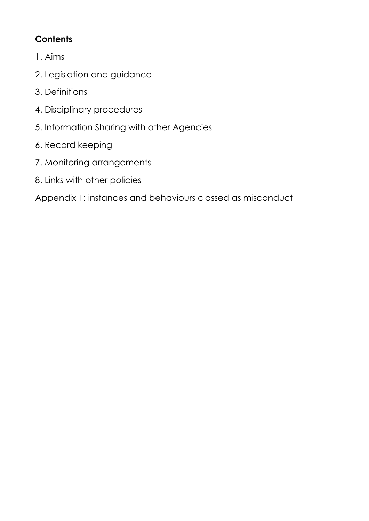## **Contents**

- 1. Aims
- 2. Legislation and guidance
- 3. Definitions
- 4. Disciplinary procedures
- 5. Information Sharing with other Agencies
- 6. Record keeping
- 7. Monitoring arrangements
- 8. Links with other policies

Appendix 1: instances and behaviours classed as misconduct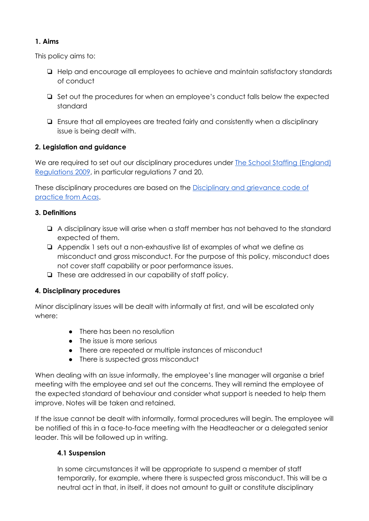## **1. Aims**

This policy aims to:

- ❏ Help and encourage all employees to achieve and maintain satisfactory standards of conduct
- ❏ Set out the procedures for when an employee's conduct falls below the expected standard
- ❏ Ensure that all employees are treated fairly and consistently when a disciplinary issue is being dealt with.

## **2. Legislation and guidance**

We are required to set out our disciplinary procedures under [T](http://www.legislation.gov.uk/uksi/2009/2680/contents/made)he School Staffing [\(England\)](http://www.legislation.gov.uk/uksi/2009/2680/contents/made) [Regulations](http://www.legislation.gov.uk/uksi/2009/2680/contents/made) 2009, in particular regulations 7 and 20.

These disciplinary procedures are based on the [Disciplinary](http://www.acas.org.uk/media/pdf/f/m/Acas-Code-of-Practice-1-on-disciplinary-and-grievance-procedures.pdf) and grievance code of [practice](http://www.acas.org.uk/media/pdf/f/m/Acas-Code-of-Practice-1-on-disciplinary-and-grievance-procedures.pdf) from Acas.

## **3. Definitions**

- ❏ A disciplinary issue will arise when a staff member has not behaved to the standard expected of them.
- ❏ Appendix 1 sets out a non-exhaustive list of examples of what we define as misconduct and gross misconduct. For the purpose of this policy, misconduct does not cover staff capability or poor performance issues.
- ❏ These are addressed in our capability of staff policy.

## **4. Disciplinary procedures**

Minor disciplinary issues will be dealt with informally at first, and will be escalated only where:

- There has been no resolution
- The issue is more serious
- There are repeated or multiple instances of misconduct
- There is suspected gross misconduct

When dealing with an issue informally, the employee's line manager will organise a brief meeting with the employee and set out the concerns. They will remind the employee of the expected standard of behaviour and consider what support is needed to help them improve. Notes will be taken and retained.

If the issue cannot be dealt with informally, formal procedures will begin. The employee will be notified of this in a face-to-face meeting with the Headteacher or a delegated senior leader. This will be followed up in writing.

## **4.1 Suspension**

In some circumstances it will be appropriate to suspend a member of staff temporarily, for example, where there is suspected gross misconduct. This will be a neutral act in that, in itself, it does not amount to guilt or constitute disciplinary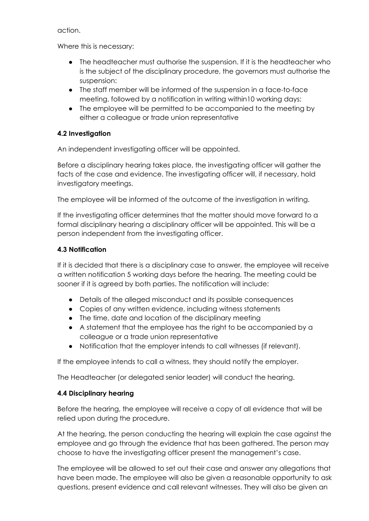action.

Where this is necessary:

- The headteacher must authorise the suspension. If it is the headteacher who is the subject of the disciplinary procedure, the governors must authorise the suspension:
- The staff member will be informed of the suspension in a face-to-face meeting, followed by a notification in writing within10 working days:
- The employee will be permitted to be accompanied to the meeting by either a colleague or trade union representative

## **4.2 Investigation**

An independent investigating officer will be appointed.

Before a disciplinary hearing takes place, the investigating officer will gather the facts of the case and evidence. The investigating officer will, if necessary, hold investigatory meetings.

The employee will be informed of the outcome of the investigation in writing.

If the investigating officer determines that the matter should move forward to a formal disciplinary hearing a disciplinary officer will be appointed. This will be a person independent from the investigating officer.

## **4.3 Notification**

If it is decided that there is a disciplinary case to answer, the employee will receive a written notification 5 working days before the hearing. The meeting could be sooner if it is agreed by both parties. The notification will include:

- Details of the alleged misconduct and its possible consequences
- Copies of any written evidence, including witness statements
- The time, date and location of the disciplinary meeting
- A statement that the employee has the right to be accompanied by a colleague or a trade union representative
- Notification that the employer intends to call witnesses (if relevant).

If the employee intends to call a witness, they should notify the employer.

The Headteacher (or delegated senior leader) will conduct the hearing.

## **4.4 Disciplinary hearing**

Before the hearing, the employee will receive a copy of all evidence that will be relied upon during the procedure.

At the hearing, the person conducting the hearing will explain the case against the employee and go through the evidence that has been gathered. The person may choose to have the investigating officer present the management's case.

The employee will be allowed to set out their case and answer any allegations that have been made. The employee will also be given a reasonable opportunity to ask questions, present evidence and call relevant witnesses. They will also be given an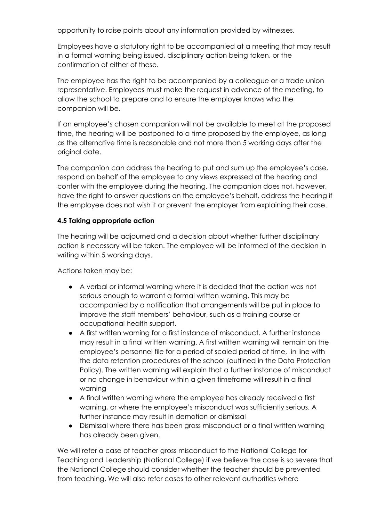opportunity to raise points about any information provided by witnesses.

Employees have a statutory right to be accompanied at a meeting that may result in a formal warning being issued, disciplinary action being taken, or the confirmation of either of these.

The employee has the right to be accompanied by a colleague or a trade union representative. Employees must make the request in advance of the meeting, to allow the school to prepare and to ensure the employer knows who the companion will be.

If an employee's chosen companion will not be available to meet at the proposed time, the hearing will be postponed to a time proposed by the employee, as long as the alternative time is reasonable and not more than 5 working days after the original date.

The companion can address the hearing to put and sum up the employee's case, respond on behalf of the employee to any views expressed at the hearing and confer with the employee during the hearing. The companion does not, however, have the right to answer questions on the employee's behalf, address the hearing if the employee does not wish it or prevent the employer from explaining their case.

## **4.5 Taking appropriate action**

The hearing will be adjourned and a decision about whether further disciplinary action is necessary will be taken. The employee will be informed of the decision in writing within 5 working days.

Actions taken may be:

- A verbal or informal warning where it is decided that the action was not serious enough to warrant a formal written warning. This may be accompanied by a notification that arrangements will be put in place to improve the staff members' behaviour, such as a training course or occupational health support.
- A first written warning for a first instance of misconduct. A further instance may result in a final written warning. A first written warning will remain on the employee's personnel file for a period of scaled period of time, in line with the data retention procedures of the school (outlined in the Data Protection Policy). The written warning will explain that a further instance of misconduct or no change in behaviour within a given timeframe will result in a final warning
- A final written warning where the employee has already received a first warning, or where the employee's misconduct was sufficiently serious. A further instance may result in demotion or dismissal
- Dismissal where there has been gross misconduct or a final written warning has already been given.

We will refer a case of teacher gross misconduct to the National College for Teaching and Leadership (National College) if we believe the case is so severe that the National College should consider whether the teacher should be prevented from teaching. We will also refer cases to other relevant authorities where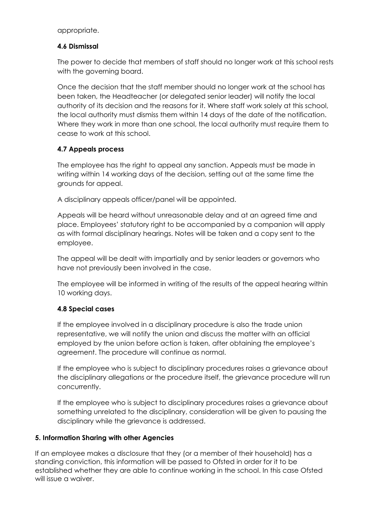appropriate.

## **4.6 Dismissal**

The power to decide that members of staff should no longer work at this school rests with the governing board.

Once the decision that the staff member should no longer work at the school has been taken, the Headteacher (or delegated senior leader) will notify the local authority of its decision and the reasons for it. Where staff work solely at this school, the local authority must dismiss them within 14 days of the date of the notification. Where they work in more than one school, the local authority must require them to cease to work at this school.

## **4.7 Appeals process**

The employee has the right to appeal any sanction. Appeals must be made in writing within 14 working days of the decision, setting out at the same time the grounds for appeal.

A disciplinary appeals officer/panel will be appointed.

Appeals will be heard without unreasonable delay and at an agreed time and place. Employees' statutory right to be accompanied by a companion will apply as with formal disciplinary hearings. Notes will be taken and a copy sent to the employee.

The appeal will be dealt with impartially and by senior leaders or governors who have not previously been involved in the case.

The employee will be informed in writing of the results of the appeal hearing within 10 working days.

## **4.8 Special cases**

If the employee involved in a disciplinary procedure is also the trade union representative, we will notify the union and discuss the matter with an official employed by the union before action is taken, after obtaining the employee's agreement. The procedure will continue as normal.

If the employee who is subject to disciplinary procedures raises a grievance about the disciplinary allegations or the procedure itself, the grievance procedure will run concurrently.

If the employee who is subject to disciplinary procedures raises a grievance about something unrelated to the disciplinary, consideration will be given to pausing the disciplinary while the grievance is addressed.

#### **5. Information Sharing with other Agencies**

If an employee makes a disclosure that they (or a member of their household) has a standing conviction, this information will be passed to Ofsted in order for it to be established whether they are able to continue working in the school. In this case Ofsted will issue a waiver.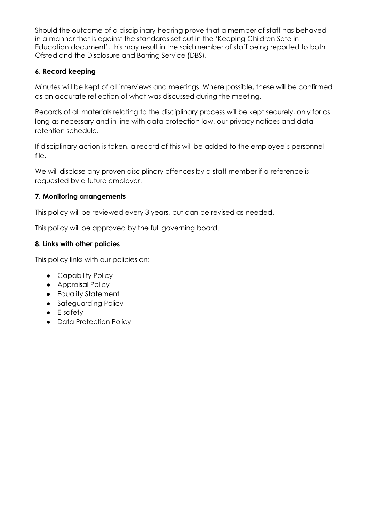Should the outcome of a disciplinary hearing prove that a member of staff has behaved in a manner that is against the standards set out in the 'Keeping Children Safe in Education document', this may result in the said member of staff being reported to both Ofsted and the Disclosure and Barring Service (DBS).

## **6. Record keeping**

Minutes will be kept of all interviews and meetings. Where possible, these will be confirmed as an accurate reflection of what was discussed during the meeting.

Records of all materials relating to the disciplinary process will be kept securely, only for as long as necessary and in line with data protection law, our privacy notices and data retention schedule.

If disciplinary action is taken, a record of this will be added to the employee's personnel file.

We will disclose any proven disciplinary offences by a staff member if a reference is requested by a future employer.

## **7. Monitoring arrangements**

This policy will be reviewed every 3 years, but can be revised as needed.

This policy will be approved by the full governing board.

## **8. Links with other policies**

This policy links with our policies on:

- Capability Policy
- Appraisal Policy
- Equality Statement
- Safeguarding Policy
- E-safety
- Data Protection Policy